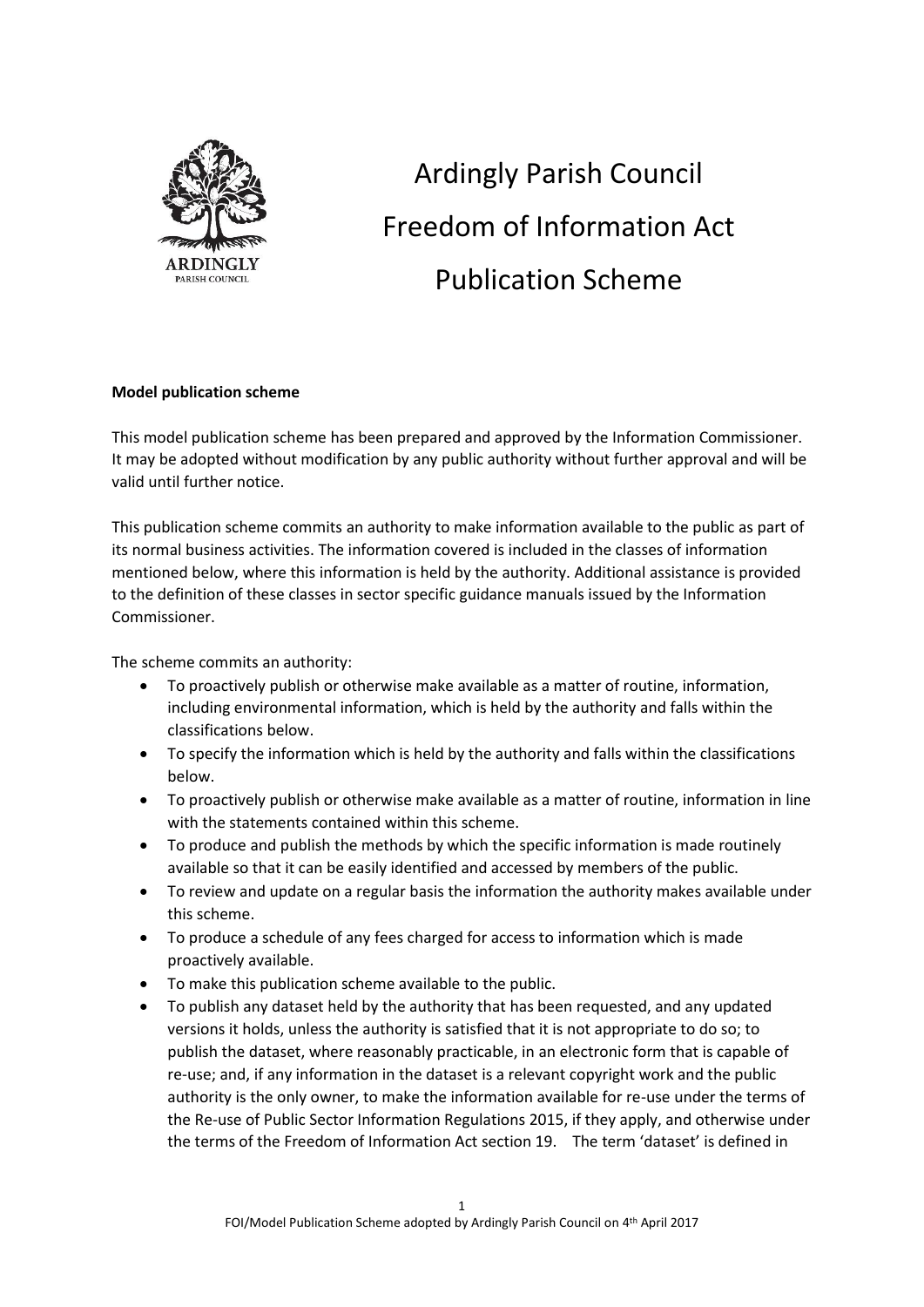

# Ardingly Parish Council Freedom of Information Act Publication Scheme

## **Model publication scheme**

This model publication scheme has been prepared and approved by the Information Commissioner. It may be adopted without modification by any public authority without further approval and will be valid until further notice.

This publication scheme commits an authority to make information available to the public as part of its normal business activities. The information covered is included in the classes of information mentioned below, where this information is held by the authority. Additional assistance is provided to the definition of these classes in sector specific guidance manuals issued by the Information Commissioner.

The scheme commits an authority:

- To proactively publish or otherwise make available as a matter of routine, information, including environmental information, which is held by the authority and falls within the classifications below.
- To specify the information which is held by the authority and falls within the classifications below.
- To proactively publish or otherwise make available as a matter of routine, information in line with the statements contained within this scheme.
- To produce and publish the methods by which the specific information is made routinely available so that it can be easily identified and accessed by members of the public.
- To review and update on a regular basis the information the authority makes available under this scheme.
- To produce a schedule of any fees charged for access to information which is made proactively available.
- To make this publication scheme available to the public.
- To publish any dataset held by the authority that has been requested, and any updated versions it holds, unless the authority is satisfied that it is not appropriate to do so; to publish the dataset, where reasonably practicable, in an electronic form that is capable of re-use; and, if any information in the dataset is a relevant copyright work and the public authority is the only owner, to make the information available for re-use under the terms of the Re-use of Public Sector Information Regulations 2015, if they apply, and otherwise under the terms of the Freedom of Information Act section 19. The term 'dataset' is defined in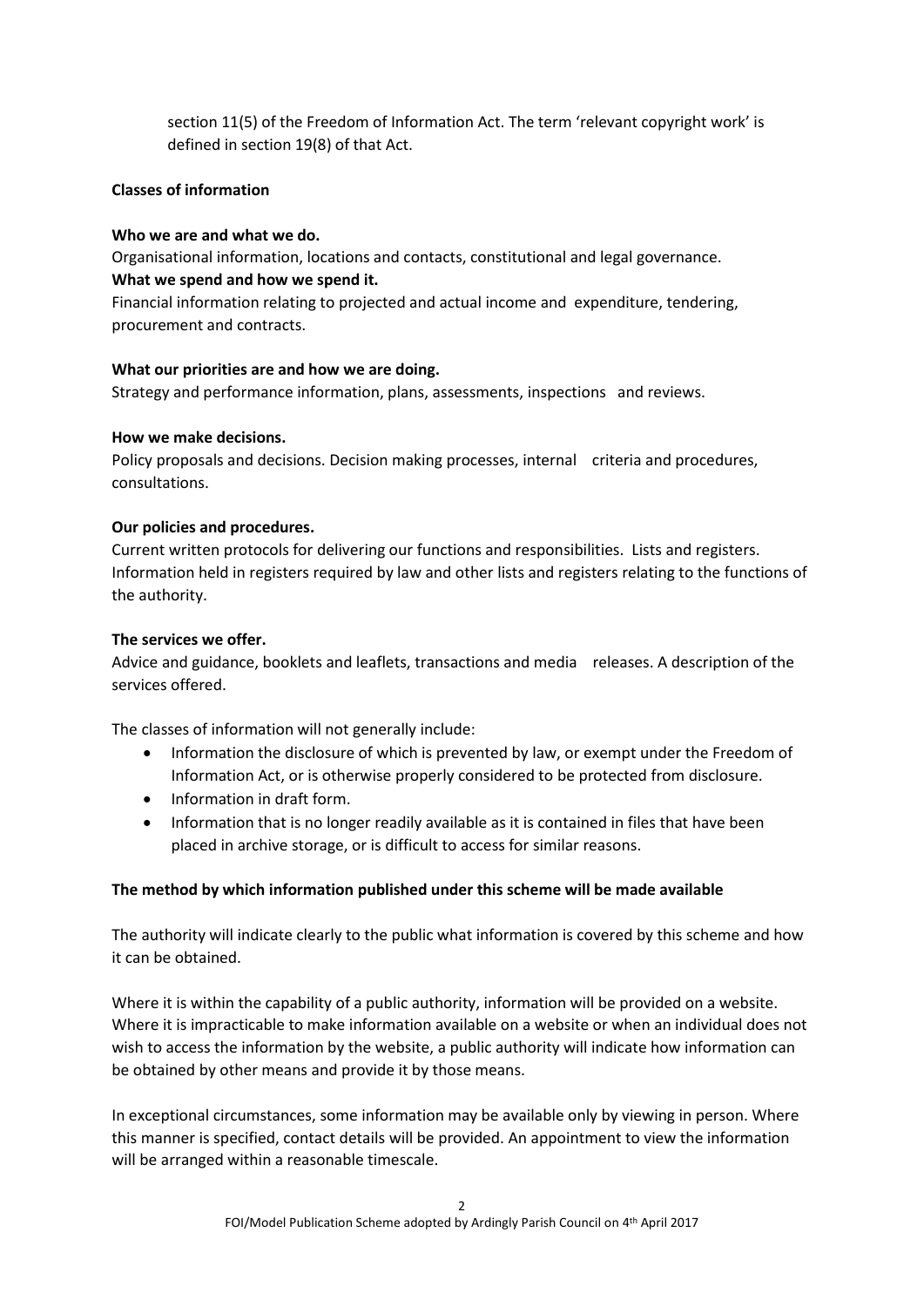section 11(5) of the Freedom of Information Act. The term 'relevant copyright work' is defined in section 19(8) of that Act.

## **Classes of information**

## **Who we are and what we do.**

Organisational information, locations and contacts, constitutional and legal governance. **What we spend and how we spend it.**

Financial information relating to projected and actual income and expenditure, tendering, procurement and contracts.

## **What our priorities are and how we are doing.**

Strategy and performance information, plans, assessments, inspections and reviews.

## **How we make decisions.**

Policy proposals and decisions. Decision making processes, internal criteria and procedures, consultations.

## **Our policies and procedures.**

Current written protocols for delivering our functions and responsibilities. Lists and registers. Information held in registers required by law and other lists and registers relating to the functions of the authority.

## **The services we offer.**

Advice and guidance, booklets and leaflets, transactions and media releases. A description of the services offered.

The classes of information will not generally include:

- Information the disclosure of which is prevented by law, or exempt under the Freedom of Information Act, or is otherwise properly considered to be protected from disclosure.
- Information in draft form.
- Information that is no longer readily available as it is contained in files that have been placed in archive storage, or is difficult to access for similar reasons.

## **The method by which information published under this scheme will be made available**

The authority will indicate clearly to the public what information is covered by this scheme and how it can be obtained.

Where it is within the capability of a public authority, information will be provided on a website. Where it is impracticable to make information available on a website or when an individual does not wish to access the information by the website, a public authority will indicate how information can be obtained by other means and provide it by those means.

In exceptional circumstances, some information may be available only by viewing in person. Where this manner is specified, contact details will be provided. An appointment to view the information will be arranged within a reasonable timescale.